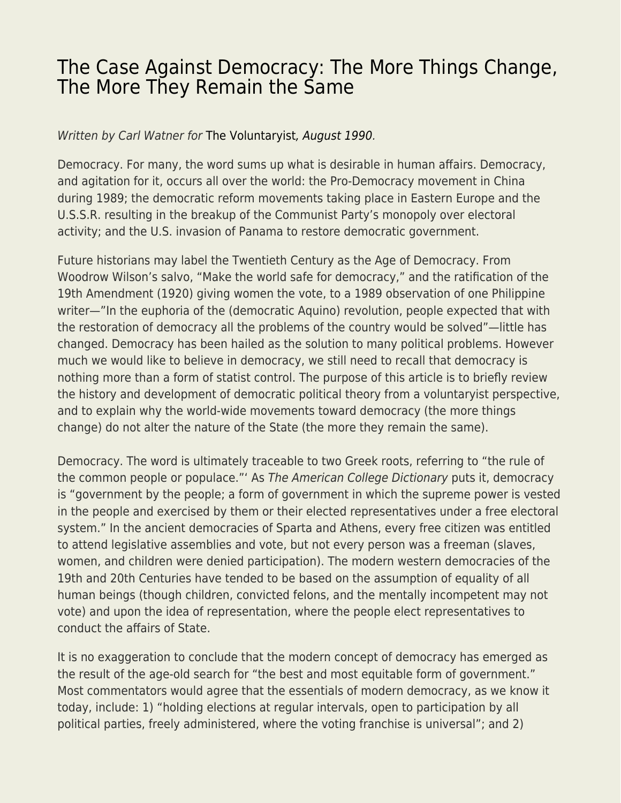## [The Case Against Democracy: The More Things Change,](https://everything-voluntary.com/the-case-against-democracy-the-more-things-change-the-more-they-remain-the-same) [The More They Remain the Same](https://everything-voluntary.com/the-case-against-democracy-the-more-things-change-the-more-they-remain-the-same)

## Written by Carl Watner for [The Voluntaryist](http://voluntaryist.com/backissues/045.pdf)[, August 1990](http://voluntaryist.com/backissues/045.pdf).

Democracy. For many, the word sums up what is desirable in human affairs. Democracy, and agitation for it, occurs all over the world: the Pro-Democracy movement in China during 1989; the democratic reform movements taking place in Eastern Europe and the U.S.S.R. resulting in the breakup of the Communist Party's monopoly over electoral activity; and the U.S. invasion of Panama to restore democratic government.

Future historians may label the Twentieth Century as the Age of Democracy. From Woodrow Wilson's salvo, "Make the world safe for democracy," and the ratification of the 19th Amendment (1920) giving women the vote, to a 1989 observation of one Philippine writer—"In the euphoria of the (democratic Aquino) revolution, people expected that with the restoration of democracy all the problems of the country would be solved"—little has changed. Democracy has been hailed as the solution to many political problems. However much we would like to believe in democracy, we still need to recall that democracy is nothing more than a form of statist control. The purpose of this article is to briefly review the history and development of democratic political theory from a voluntaryist perspective, and to explain why the world-wide movements toward democracy (the more things change) do not alter the nature of the State (the more they remain the same).

Democracy. The word is ultimately traceable to two Greek roots, referring to "the rule of the common people or populace."' As The American College Dictionary puts it, democracy is "government by the people; a form of government in which the supreme power is vested in the people and exercised by them or their elected representatives under a free electoral system." In the ancient democracies of Sparta and Athens, every free citizen was entitled to attend legislative assemblies and vote, but not every person was a freeman (slaves, women, and children were denied participation). The modern western democracies of the 19th and 20th Centuries have tended to be based on the assumption of equality of all human beings (though children, convicted felons, and the mentally incompetent may not vote) and upon the idea of representation, where the people elect representatives to conduct the affairs of State.

It is no exaggeration to conclude that the modern concept of democracy has emerged as the result of the age-old search for "the best and most equitable form of government." Most commentators would agree that the essentials of modern democracy, as we know it today, include: 1) "holding elections at regular intervals, open to participation by all political parties, freely administered, where the voting franchise is universal"; and 2)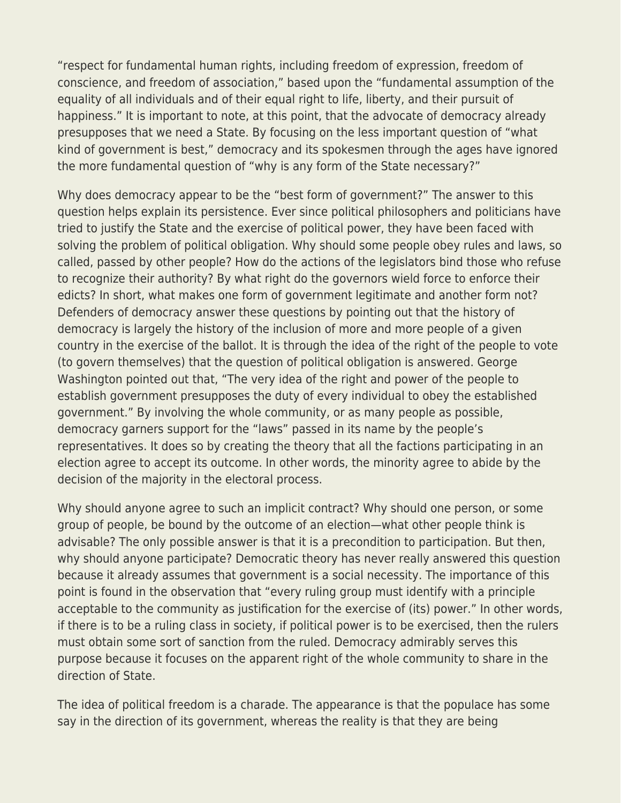"respect for fundamental human rights, including freedom of expression, freedom of conscience, and freedom of association," based upon the "fundamental assumption of the equality of all individuals and of their equal right to life, liberty, and their pursuit of happiness." It is important to note, at this point, that the advocate of democracy already presupposes that we need a State. By focusing on the less important question of "what kind of government is best," democracy and its spokesmen through the ages have ignored the more fundamental question of "why is any form of the State necessary?"

Why does democracy appear to be the "best form of government?" The answer to this question helps explain its persistence. Ever since political philosophers and politicians have tried to justify the State and the exercise of political power, they have been faced with solving the problem of political obligation. Why should some people obey rules and laws, so called, passed by other people? How do the actions of the legislators bind those who refuse to recognize their authority? By what right do the governors wield force to enforce their edicts? In short, what makes one form of government legitimate and another form not? Defenders of democracy answer these questions by pointing out that the history of democracy is largely the history of the inclusion of more and more people of a given country in the exercise of the ballot. It is through the idea of the right of the people to vote (to govern themselves) that the question of political obligation is answered. George Washington pointed out that, "The very idea of the right and power of the people to establish government presupposes the duty of every individual to obey the established government." By involving the whole community, or as many people as possible, democracy garners support for the "laws" passed in its name by the people's representatives. It does so by creating the theory that all the factions participating in an election agree to accept its outcome. In other words, the minority agree to abide by the decision of the majority in the electoral process.

Why should anyone agree to such an implicit contract? Why should one person, or some group of people, be bound by the outcome of an election—what other people think is advisable? The only possible answer is that it is a precondition to participation. But then, why should anyone participate? Democratic theory has never really answered this question because it already assumes that government is a social necessity. The importance of this point is found in the observation that "every ruling group must identify with a principle acceptable to the community as justification for the exercise of (its) power." In other words, if there is to be a ruling class in society, if political power is to be exercised, then the rulers must obtain some sort of sanction from the ruled. Democracy admirably serves this purpose because it focuses on the apparent right of the whole community to share in the direction of State.

The idea of political freedom is a charade. The appearance is that the populace has some say in the direction of its government, whereas the reality is that they are being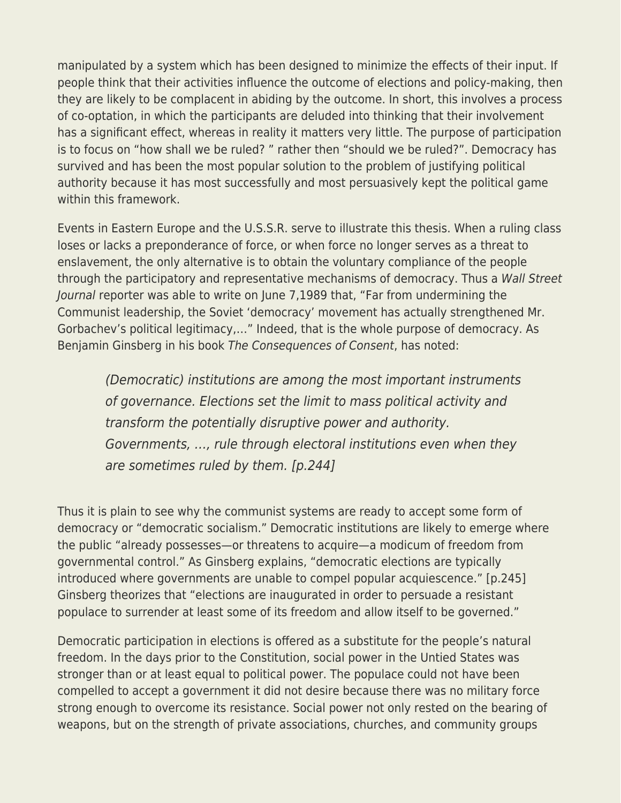manipulated by a system which has been designed to minimize the effects of their input. If people think that their activities influence the outcome of elections and policy-making, then they are likely to be complacent in abiding by the outcome. In short, this involves a process of co-optation, in which the participants are deluded into thinking that their involvement has a significant effect, whereas in reality it matters very little. The purpose of participation is to focus on "how shall we be ruled? " rather then "should we be ruled?". Democracy has survived and has been the most popular solution to the problem of justifying political authority because it has most successfully and most persuasively kept the political game within this framework.

Events in Eastern Europe and the U.S.S.R. serve to illustrate this thesis. When a ruling class loses or lacks a preponderance of force, or when force no longer serves as a threat to enslavement, the only alternative is to obtain the voluntary compliance of the people through the participatory and representative mechanisms of democracy. Thus a Wall Street Journal reporter was able to write on June 7,1989 that, "Far from undermining the Communist leadership, the Soviet 'democracy' movement has actually strengthened Mr. Gorbachev's political legitimacy,…" Indeed, that is the whole purpose of democracy. As Benjamin Ginsberg in his book The Consequences of Consent, has noted:

(Democratic) institutions are among the most important instruments of governance. Elections set the limit to mass political activity and transform the potentially disruptive power and authority. Governments, …, rule through electoral institutions even when they are sometimes ruled by them. [p.244]

Thus it is plain to see why the communist systems are ready to accept some form of democracy or "democratic socialism." Democratic institutions are likely to emerge where the public "already possesses—or threatens to acquire—a modicum of freedom from governmental control." As Ginsberg explains, "democratic elections are typically introduced where governments are unable to compel popular acquiescence." [p.245] Ginsberg theorizes that "elections are inaugurated in order to persuade a resistant populace to surrender at least some of its freedom and allow itself to be governed."

Democratic participation in elections is offered as a substitute for the people's natural freedom. In the days prior to the Constitution, social power in the Untied States was stronger than or at least equal to political power. The populace could not have been compelled to accept a government it did not desire because there was no military force strong enough to overcome its resistance. Social power not only rested on the bearing of weapons, but on the strength of private associations, churches, and community groups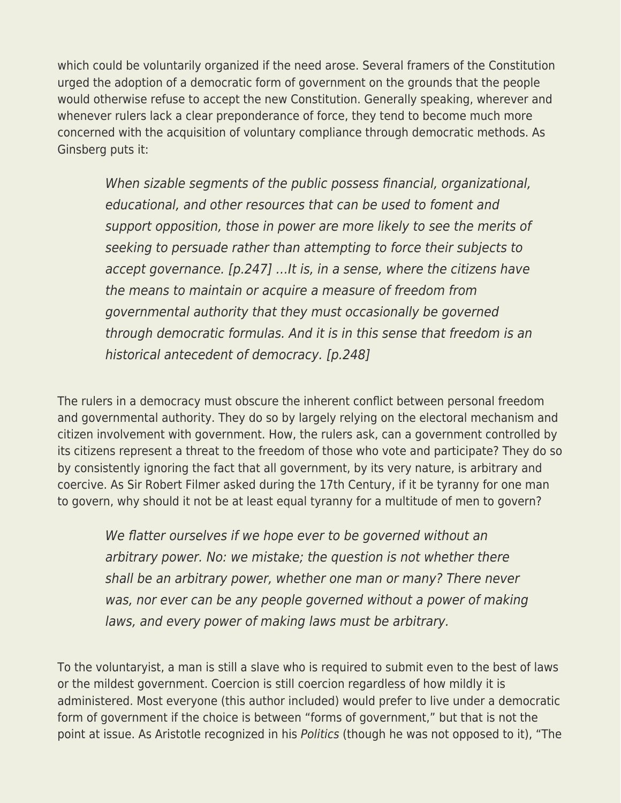which could be voluntarily organized if the need arose. Several framers of the Constitution urged the adoption of a democratic form of government on the grounds that the people would otherwise refuse to accept the new Constitution. Generally speaking, wherever and whenever rulers lack a clear preponderance of force, they tend to become much more concerned with the acquisition of voluntary compliance through democratic methods. As Ginsberg puts it:

When sizable segments of the public possess financial, organizational, educational, and other resources that can be used to foment and support opposition, those in power are more likely to see the merits of seeking to persuade rather than attempting to force their subjects to accept governance. [p.247] …It is, in a sense, where the citizens have the means to maintain or acquire a measure of freedom from governmental authority that they must occasionally be governed through democratic formulas. And it is in this sense that freedom is an historical antecedent of democracy. [p.248]

The rulers in a democracy must obscure the inherent conflict between personal freedom and governmental authority. They do so by largely relying on the electoral mechanism and citizen involvement with government. How, the rulers ask, can a government controlled by its citizens represent a threat to the freedom of those who vote and participate? They do so by consistently ignoring the fact that all government, by its very nature, is arbitrary and coercive. As Sir Robert Filmer asked during the 17th Century, if it be tyranny for one man to govern, why should it not be at least equal tyranny for a multitude of men to govern?

We flatter ourselves if we hope ever to be governed without an arbitrary power. No: we mistake; the question is not whether there shall be an arbitrary power, whether one man or many? There never was, nor ever can be any people governed without a power of making laws, and every power of making laws must be arbitrary.

To the voluntaryist, a man is still a slave who is required to submit even to the best of laws or the mildest government. Coercion is still coercion regardless of how mildly it is administered. Most everyone (this author included) would prefer to live under a democratic form of government if the choice is between "forms of government," but that is not the point at issue. As Aristotle recognized in his Politics (though he was not opposed to it), "The